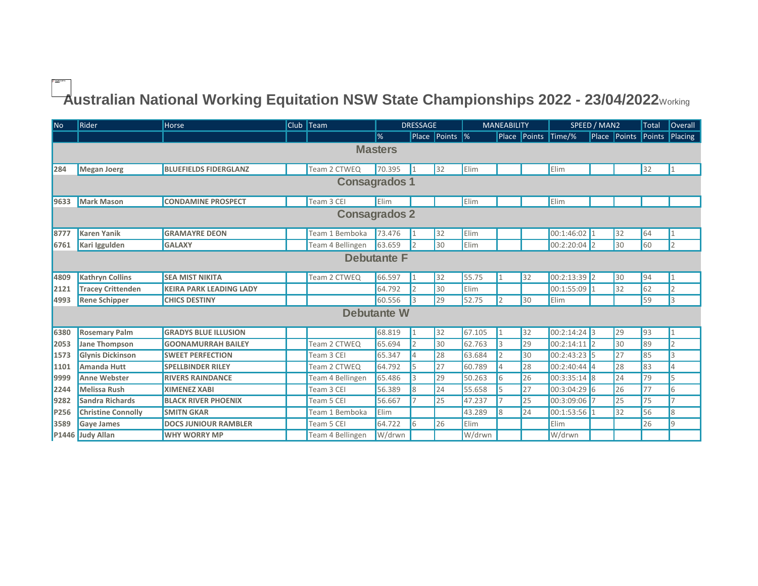## $\overrightarrow{\phantom{a}}$ ustralian National Working Equitation NSW State Championships 2022 - 23/04/2022 $_{\tiny\rm{Working}}$

| No             | <b>Rider</b>              | Horse                          |  | Club $\sqrt{\phantom{a}}$ Team | <b>DRESSAGE</b> |    |                | <b>MANEABILITY</b> |                |    | SPEED / MAN2        |  |              | Total                 | <b>Overall</b> |
|----------------|---------------------------|--------------------------------|--|--------------------------------|-----------------|----|----------------|--------------------|----------------|----|---------------------|--|--------------|-----------------------|----------------|
|                |                           |                                |  |                                | ।%              |    | Place Points % |                    |                |    | Place Points Time/% |  | Place Points | $\blacksquare$ Points | Placing        |
| <b>Masters</b> |                           |                                |  |                                |                 |    |                |                    |                |    |                     |  |              |                       |                |
|                |                           |                                |  |                                |                 |    |                |                    |                |    |                     |  |              |                       |                |
| 284            | Megan Joerg               | <b>BLUEFIELDS FIDERGLANZ</b>   |  | Team 2 CTWEQ                   | 70.395          |    | 32             | Elim               |                |    | Elim                |  |              | 32                    |                |
| Consagrados 1  |                           |                                |  |                                |                 |    |                |                    |                |    |                     |  |              |                       |                |
| 9633           | Mark Mason                | <b>CONDAMINE PROSPECT</b>      |  | Team 3 CEI                     | Elim            |    |                | Elim               |                |    | Elim                |  |              |                       |                |
| Consagrados 2  |                           |                                |  |                                |                 |    |                |                    |                |    |                     |  |              |                       |                |
| 8777           | <b>Karen Yanik</b>        | <b>GRAMAYRE DEON</b>           |  | Team 1 Bemboka                 | 73.476          |    | 32             | Elim               |                |    | 00:1:46:02 1        |  | 32           | 64                    |                |
| 6761           | Kari Iggulden             | <b>GALAXY</b>                  |  | Team 4 Bellingen               | 63.659          | 12 | 30             | Elim               |                |    | $00:2:20:04$ 2      |  | 30           | 60                    | 2              |
| Debutante F    |                           |                                |  |                                |                 |    |                |                    |                |    |                     |  |              |                       |                |
| 4809           | <b>Kathryn Collins</b>    | <b>SEA MIST NIKITA</b>         |  | Team 2 CTWEQ                   | 66.597          |    | 32             | 55.75              |                | 32 | $00:2:13:39$ 2      |  | 30           | 94                    |                |
| 2121           | <b>Tracey Crittenden</b>  | <b>KEIRA PARK LEADING LADY</b> |  |                                | 64.792          | l2 | 30             | Elim               |                |    | 00:1:55:09 1        |  | 32           | 62                    | $\overline{2}$ |
| 4993           | <b>Rene Schipper</b>      | <b>CHICS DESTINY</b>           |  |                                | 60.556          | l3 | 29             | 52.75              | $\overline{2}$ | 30 | Elim                |  |              | 59                    | 3              |
|                |                           |                                |  |                                | Debutante W     |    |                |                    |                |    |                     |  |              |                       |                |
| 6380           | <b>Rosemary Palm</b>      | <b>GRADYS BLUE ILLUSION</b>    |  |                                | 68.819          |    | 32             | 67.105             |                | 32 | $00:2:14:24$ 3      |  | 29           | 93                    |                |
| 2053           | Jane Thompson             | <b>GOONAMURRAH BAILEY</b>      |  | Team 2 CTWEQ                   | 65.694          | 2  | 30             | 62.763             | l3             | 29 | 00:2:14:11 2        |  | 30           | 89                    | $\overline{2}$ |
| 1573           | <b>Glynis Dickinson</b>   | <b>SWEET PERFECTION</b>        |  | Team 3 CEI                     | 65.347          | 14 | 28             | 63.684             | 12             | 30 | $00:2:43:23$ 5      |  | 27           | 85                    | $\overline{3}$ |
| 1101           | <b>Amanda Hutt</b>        | <b>SPELLBINDER RILEY</b>       |  | Team 2 CTWEQ                   | 64.792          | l5 | 27             | 60.789             | $\overline{A}$ | 28 | $00:2:40:44$ 4      |  | 28           | 83                    | $\overline{4}$ |
| 9999           | <b>Anne Webster</b>       | <b>RIVERS RAINDANCE</b>        |  | Team 4 Bellingen               | 65.486          | l3 | 29             | 50.263             | 6              | 26 | $00:3:35:14$ 8      |  | 24           | 79                    | 5              |
| 2244           | <b>Melissa Rush</b>       | <b>XIMENEZ XABI</b>            |  | Team 3 CEI                     | 56.389          | l8 | 24             | 55.658             | 5              | 27 | 00:3:04:29 6        |  | 26           | 77                    | 6              |
| 9282           | Sandra Richards           | <b>BLACK RIVER PHOENIX</b>     |  | Team 5 CEI                     | 56.667          |    | 25             | 47.237             |                | 25 | 00:3:09:06 7        |  | 25           | 75                    | $\overline{7}$ |
| P256           | <b>Christine Connolly</b> | <b>SMITN GKAR</b>              |  | Team 1 Bemboka                 | Elim            |    |                | 43.289             | $\overline{8}$ | 24 | $00:1:53:56$ 1      |  | 32           | 56                    | $\overline{8}$ |
| 3589           | <b>Gaye James</b>         | <b>DOCS JUNIOUR RAMBLER</b>    |  | Team 5 CEI                     | 64.722          | 6  | 26             | Elim               |                |    | Elim                |  |              | 26                    | $\overline{9}$ |
|                | P1446 Judy Allan          | <b>WHY WORRY MP</b>            |  | Team 4 Bellingen               | W/drwn          |    |                | W/drwn             |                |    | W/drwn              |  |              |                       |                |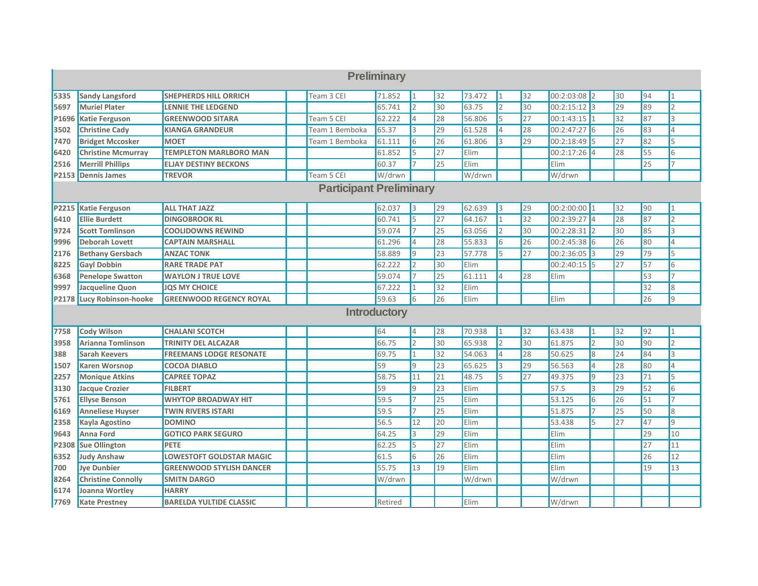| Preliminary                    |                           |                                 |  |                |              |                      |                 |        |     |                 |                |                 |    |                 |                |
|--------------------------------|---------------------------|---------------------------------|--|----------------|--------------|----------------------|-----------------|--------|-----|-----------------|----------------|-----------------|----|-----------------|----------------|
| 5335                           | <b>Sandy Langsford</b>    | <b>SHEPHERDS HILL ORRICH</b>    |  | Team 3 CEI     | 71.852       | 11                   | 32              | 73.472 | 1   | 32              | $00:2:03:08$ 2 |                 | 30 | 94              | $\mathbf{1}$   |
| 5697                           | <b>Muriel Plater</b>      | <b>LENNIE THE LEDGEND</b>       |  |                | 65.741       | $\vert$ <sub>2</sub> | 30              | 63.75  | 2   | 30              | $00:2:15:12$ 3 |                 | 29 | 89              | $\overline{2}$ |
| P1696                          | <b>Katie Ferguson</b>     | <b>GREENWOOD SITARA</b>         |  | Team 5 CEI     | 62.222       | $\overline{4}$       | 28              | 56.806 | l5  | 27              | $00:1:43:15$ 1 |                 | 32 | 87              | 3              |
| 3502                           | <b>Christine Cady</b>     | <b>KIANGA GRANDEUR</b>          |  | Team 1 Bemboka | 65.37        | l3                   | 29              | 61.528 | 4   | 28              | 00:2:47:27 6   |                 | 26 | 83              | 4              |
| 7470                           | <b>Bridget Mccosker</b>   | <b>MOET</b>                     |  | Team 1 Bemboka | 61.111       | 6                    | 26              | 61.806 | l3  | 29              | $00:2:18:49$ 5 |                 | 27 | 82              | 5              |
| 6420                           | <b>Christine Mcmurray</b> | <b>TEMPLETON MARLBORO MAN</b>   |  |                | 61.852       | 5                    | $\overline{27}$ | Elim   |     |                 | $00:2:17:26$ 4 |                 | 28 | 55              | 6              |
| 2516                           | <b>Merrill Phillips</b>   | <b>ELJAY DESTINY BECKONS</b>    |  |                | 60.37        | $\overline{7}$       | 25              | Elim   |     |                 | Elim           |                 |    | 25              | $\overline{7}$ |
| P2153                          | <b>Dennis James</b>       | <b>TREVOR</b>                   |  | Team 5 CEI     | W/drwn       |                      |                 | W/drwn |     |                 | W/drwn         |                 |    |                 |                |
| <b>Participant Preliminary</b> |                           |                                 |  |                |              |                      |                 |        |     |                 |                |                 |    |                 |                |
| P2215                          | <b>Katie Ferguson</b>     | <b>ALL THAT JAZZ</b>            |  |                | 62.037       | <b>3</b>             | 29              | 62.639 | 13  | 29              | 00:2:00:00 1   |                 | 32 | 90              | 1              |
| 6410                           | <b>Ellie Burdett</b>      | <b>DINGOBROOK RL</b>            |  |                | 60.741       | 5                    | $\overline{27}$ | 64.167 | I1  | $\overline{32}$ | 00:2:39:27 4   |                 | 28 | 87              | $\overline{2}$ |
| 9724                           | <b>Scott Tomlinson</b>    | <b>COOLIDOWNS REWIND</b>        |  |                | 59.074       | 17                   | 25              | 63.056 | l2  | 30              | $00:2:28:31$ 2 |                 | 30 | 85              | 3              |
| 9996                           | <b>Deborah Lovett</b>     | <b>CAPTAIN MARSHALL</b>         |  |                | 61.296       | 4                    | 28              | 55.833 | 16  | 26              | 00:2:45:38 6   |                 | 26 | 80              | 4              |
| 2176                           | <b>Bethany Gersbach</b>   | <b>ANZAC TONK</b>               |  |                | 58.889       | Ι9                   | 23              | 57.778 | l5  | 27              | 00:2:36:05 3   |                 | 29 | 79              | 5              |
| 8225                           | <b>Gayl Dobbin</b>        | <b>RARE TRADE PAT</b>           |  |                | 62.222       | $\overline{2}$       | 30              | Elim   |     |                 | 00:2:40:15 5   |                 | 27 | 57              | 6              |
| 6368                           | <b>Penelope Swatton</b>   | <b>WAYLON J TRUE LOVE</b>       |  |                | 59.074       | $\overline{7}$       | 25              | 61.111 | l4  | 28              | Elim           |                 |    | 53              | $\overline{7}$ |
| 9997                           | Jacqueline Quon           | <b>JOS MY CHOICE</b>            |  |                | 67.222       | 1                    | 32              | Elim   |     |                 |                |                 |    | 32              | 8              |
| P2178                          | Lucy Robinson-hooke       | <b>GREENWOOD REGENCY ROYAL</b>  |  |                | 59.63        | 16                   | 26              | Elim   |     |                 | Elim           |                 |    | 26              | 9              |
|                                |                           |                                 |  |                | Introductory |                      |                 |        |     |                 |                |                 |    |                 |                |
| 7758                           | <b>Cody Wilson</b>        | <b>CHALANI SCOTCH</b>           |  |                | 64           | $\overline{4}$       | 28              | 70.938 | I1  | 32              | 63.438         | $\mathbf{1}$    | 32 | 92              | 1              |
| 3958                           | Arianna Tomlinson         | <b>TRINITY DEL ALCAZAR</b>      |  |                | 66.75        | $\vert$ 2            | 30              | 65.938 | 2   | 30              | 61.875         | $\overline{2}$  | 30 | 90              | $\overline{2}$ |
| 388                            | <b>Sarah Keevers</b>      | <b>FREEMANS LODGE RESONATE</b>  |  |                | 69.75        | I1                   | 32              | 54.063 | 4   | 28              | 50.625         | $8\overline{)}$ | 24 | 84              | 3              |
| 1507                           | <b>Karen Worsnop</b>      | <b>COCOA DIABLO</b>             |  |                | 59           | l9                   | 23              | 65.625 | 3   | 29              | 56.563         | $\overline{4}$  | 28 | 80              | 4              |
| 2257                           | <b>Monique Atkins</b>     | <b>CAPREE TOPAZ</b>             |  |                | 58.75        | 11                   | 21              | 48.75  | l5. | 27              | 49.375         | $\overline{9}$  | 23 | 71              | 5              |
| 3130                           | <b>Jacque Crozier</b>     | <b>FILBERT</b>                  |  |                | 59           | l9                   | $\overline{23}$ | Elim   |     |                 | 57.5           | $\overline{3}$  | 29 | 52              | 6              |
| 5761                           | <b>Ellyse Benson</b>      | <b>WHYTOP BROADWAY HIT</b>      |  |                | 59.5         | 7                    | 25              | Elim   |     |                 | 53.125         | $6\overline{6}$ | 26 | 51              | $\overline{7}$ |
| 6169                           | <b>Anneliese Huyser</b>   | <b>TWIN RIVERS ISTARI</b>       |  |                | 59.5         | $\overline{7}$       | 25              | Elim   |     |                 | 51.875         | $\overline{7}$  | 25 | 50              | 8              |
| 2358                           | Kayla Agostino            | <b>DOMINO</b>                   |  |                | 56.5         | 12                   | 20              | Elim   |     |                 | 53.438         | 5               | 27 | 47              | 9              |
| 9643                           | <b>Anna Ford</b>          | <b>GOTICO PARK SEGURO</b>       |  |                | 64.25        | 3                    | $\overline{29}$ | Elim   |     |                 | Elim           |                 |    | 29              | 10             |
| P2308                          | <b>Sue Ollington</b>      | <b>PETE</b>                     |  |                | 62.25        | 5                    | $\overline{27}$ | Elim   |     |                 | Elim           |                 |    | $\overline{27}$ | 11             |
| 6352                           | Judy Anshaw               | <b>LOWESTOFT GOLDSTAR MAGIC</b> |  |                | 61.5         | 6                    | 26              | Elim   |     |                 | Elim           |                 |    | 26              | 12             |
| 700                            | <b>Jye Dunbier</b>        | <b>GREENWOOD STYLISH DANCER</b> |  |                | 55.75        | 13                   | 19              | Elim   |     |                 | Elim           |                 |    | 19              | 13             |
| 8264                           | <b>Christine Connolly</b> | <b>SMITN DARGO</b>              |  |                | W/drwn       |                      |                 | W/drwn |     |                 | W/drwn         |                 |    |                 |                |
| 6174                           | Joanna Wortley            | <b>HARRY</b>                    |  |                |              |                      |                 |        |     |                 |                |                 |    |                 |                |
| 7769                           | <b>Kate Prestney</b>      | <b>BARELDA YULTIDE CLASSIC</b>  |  |                | Retired      |                      |                 | Elim   |     |                 | W/drwn         |                 |    |                 |                |